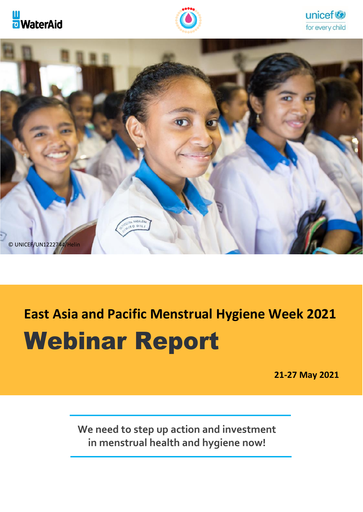







# **East Asia and Pacific Menstrual Hygiene Week 2021**

# Webinar Report

 **21-27 May 2021**

**We need to step up action and investment in menstrual health and hygiene now!**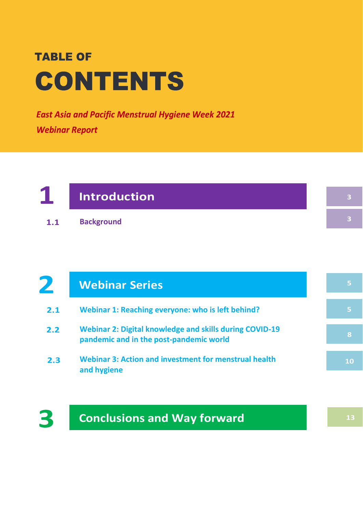**East Asia and Pacific Menstrual Hygiene Week 2021 Webinar Report** 

# **1 Introduction**

**Background 1.1**

#### **Webinar Series 2**

- **Webinar 1: Reaching everyone: who is left behind? 2.1**
- **Webinar 2: Digital knowledge and skills during COVID-19 pandemic and in the post-pandemic world 2.2**
- **Webinar 3: Action and investment for menstrual health and hygiene 2.3**

**3**

**3**



**13**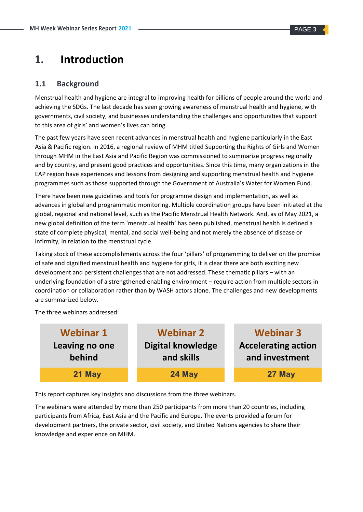# **1. Introduction**

#### **1.1 Background**

Menstrual health and hygiene are integral to improving health for billions of people around the world and achieving the SDGs. The last decade has seen growing awareness of menstrual health and hygiene, with governments, civil society, and businesses understanding the challenges and opportunities that support to this area of girls' and women's lives can bring.

The past few years have seen recent advances in menstrual health and hygiene particularly in the East Asia & Pacific region. In 2016, a regional review of MHM titled Supporting the Rights of Girls and Women through MHM in the East Asia and Pacific Region was commissioned to summarize progress regionally and by country, and present good practices and opportunities. Since this time, many organizations in the EAP region have experiences and lessons from designing and supporting menstrual health and hygiene programmes such as those supported through the Government of Australia's Water for Women Fund.

There have been new guidelines and tools for programme design and implementation, as well as advances in global and programmatic monitoring. Multiple coordination groups have been initiated at the global, regional and national level, such as the Pacific Menstrual Health Network. And, as of May 2021, a new global definition of the term 'menstrual health' has been published, menstrual health is defined a state of complete physical, mental, and social well-being and not merely the absence of disease or infirmity, in relation to the menstrual cycle.

Taking stock of these accomplishments across the four 'pillars' of programming to deliver on the promise of safe and dignified menstrual health and hygiene for girls, it is clear there are both exciting new development and persistent challenges that are not addressed. These thematic pillars – with an underlying foundation of a strengthened enabling environment – require action from multiple sectors in coordination or collaboration rather than by WASH actors alone. The challenges and new developments are summarized below.

The three webinars addressed:

| <b>Webinar 1</b> | <b>Webinar 2</b>         | <b>Webinar 3</b>           |
|------------------|--------------------------|----------------------------|
| Leaving no one   | <b>Digital knowledge</b> | <b>Accelerating action</b> |
| behind           | and skills               | and investment             |
| 21 May           | 24 May                   | 27 May                     |

This report captures key insights and discussions from the three webinars.

The webinars were attended by more than 250 participants from more than 20 countries, including participants from Africa, East Asia and the Pacific and Europe. The events provided a forum for development partners, the private sector, civil society, and United Nations agencies to share their knowledge and experience on MHM.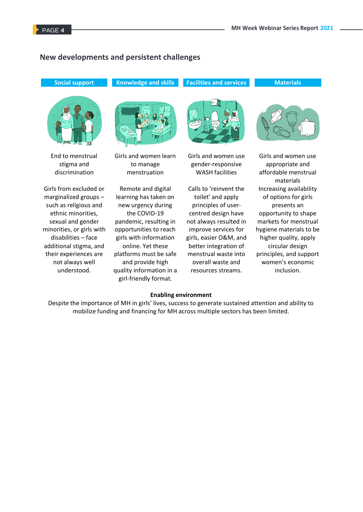#### **New developments and persistent challenges**

**Social support**



End to menstrual stigma and discrimination

Girls from excluded or marginalized groups – such as religious and ethnic minorities, sexual and gender minorities, or girls with disabilities – face additional stigma, and their experiences are not always well understood.



**Knowledge and skills**

Girls and women learn to manage menstruation

Remote and digital learning has taken on new urgency during the COVID-19 pandemic, resulting in opportunities to reach girls with information online. Yet these platforms must be safe and provide high quality information in a girl-friendly format.



**Facilities and services**

Girls and women use gender-responsive WASH facilities

Calls to 'reinvent the toilet' and apply principles of usercentred design have not always resulted in improve services for girls, easier O&M, and better integration of menstrual waste into overall waste and resources streams.



**Materials**

Girls and women use appropriate and affordable menstrual materials Increasing availability of options for girls presents an opportunity to shape markets for menstrual hygiene materials to be higher quality, apply circular design principles, and support women's economic inclusion.

#### **Enabling environment**

Despite the importance of MH in girls' lives, success to generate sustained attention and ability to mobilize funding and financing for MH across multiple sectors has been limited.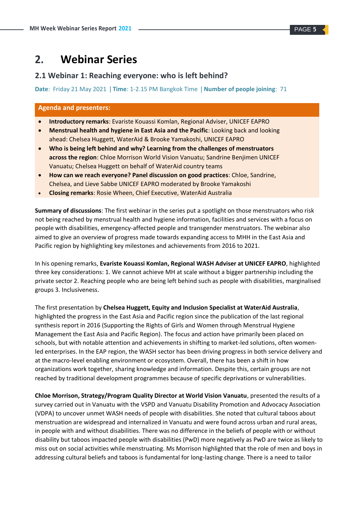# **2. Webinar Series**

#### **2.1 Webinar 1: Reaching everyone: who is left behind?**

**Date**: Friday 21 May 2021 | **Time**: 1-2.15 PM Bangkok Time | **Number of people joining**: 71

#### **Agenda and presenters:**

- **Introductory remarks**: Evariste Kouassi Komlan, Regional Adviser, UNICEF EAPRO
- **Menstrual health and hygiene in East Asia and the Pacific**: Looking back and looking ahead: Chelsea Huggett, WaterAid & Brooke Yamakoshi, UNICEF EAPRO
- **Who is being left behind and why? Learning from the challenges of menstruators across the region**: Chloe Morrison World Vision Vanuatu; Sandrine Benjimen UNICEF Vanuatu; Chelsea Huggett on behalf of WaterAid country teams
- **How can we reach everyone? Panel discussion on good practices**: Chloe, Sandrine, Chelsea, and Lieve Sabbe UNICEF EAPRO moderated by Brooke Yamakoshi
- **Closing remarks**: Rosie Wheen, Chief Executive, WaterAid Australia

**Summary of discussions**: The first webinar in the series put a spotlight on those menstruators who risk not being reached by menstrual health and hygiene information, facilities and services with a focus on people with disabilities, emergency-affected people and transgender menstruators. The webinar also aimed to give an overview of progress made towards expanding access to MHH in the East Asia and Pacific region by highlighting key milestones and achievements from 2016 to 2021.

In his opening remarks, **Evariste Kouassi Komlan, Regional WASH Adviser at UNICEF EAPRO**, highlighted three key considerations: 1. We cannot achieve MH at scale without a bigger partnership including the private sector 2. Reaching people who are being left behind such as people with disabilities, marginalised groups 3. Inclusiveness.

The first presentation by **Chelsea Huggett, Equity and Inclusion Specialist at WaterAid Australia**, highlighted the progress in the East Asia and Pacific region since the publication of the last regional synthesis report in 2016 (Supporting the Rights of Girls and Women through Menstrual Hygiene Management the East Asia and Pacific Region). The focus and action have primarily been placed on schools, but with notable attention and achievements in shifting to market-led solutions, often womenled enterprises. In the EAP region, the WASH sector has been driving progress in both service delivery and at the macro-level enabling environment or ecosystem. Overall, there has been a shift in how organizations work together, sharing knowledge and information. Despite this, certain groups are not reached by traditional development programmes because of specific deprivations or vulnerabilities.

**Chloe Morrison, Strategy/Program Quality Director at World Vision Vanuatu**, presented the results of a survey carried out in Vanuatu with the VSPD and Vanuatu Disability Promotion and Advocacy Association (VDPA) to uncover unmet WASH needs of people with disabilities. She noted that cultural taboos about menstruation are widespread and internalized in Vanuatu and were found across urban and rural areas, in people with and without disabilities. There was no difference in the beliefs of people with or without disability but taboos impacted people with disabilities (PwD) more negatively as PwD are twice as likely to miss out on social activities while menstruating. Ms Morrison highlighted that the role of men and boys in addressing cultural beliefs and taboos is fundamental for long-lasting change. There is a need to tailor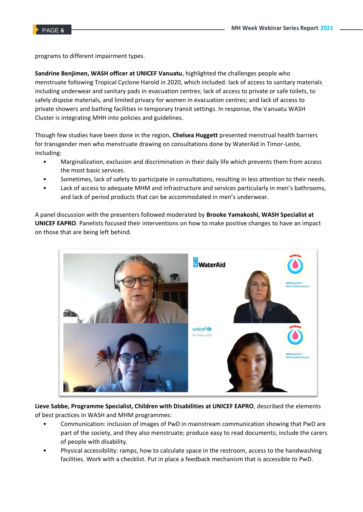programs to different impairment types.

**Sandrine Benjimen, WASH officer at UNICEF Vanuatu**, highlighted the challenges people who menstruate following Tropical Cyclone Harold in 2020, which included: lack of access to sanitary materials including underwear and sanitary pads in evacuation centres; lack of access to private or safe toilets, to safely dispose materials, and limited privacy for women in evacuation centres; and lack of access to private showers and bathing facilities in temporary transit settings. In response, the Vanuatu WASH Cluster is integrating MHH into policies and guidelines.

Though few studies have been done in the region, **Chelsea Huggett** presented menstrual health barriers for transgender men who menstruate drawing on consultations done by WaterAid in Timor-Leste, including:

- Marginalization, exclusion and discrimination in their daily life which prevents them from access the most basic services.
- Sometimes, lack of safety to participate in consultations, resulting in less attention to their needs.
- Lack of access to adequate MHM and infrastructure and services particularly in men's bathrooms, and lack of period products that can be accommodated in men's underwear.

A panel discussion with the presenters followed moderated by **Brooke Yamakoshi, WASH Specialist at UNICEF EAPRO**. Panelists focused their interventions on how to make positive changes to have an impact on those that are being left behind.



**Lieve Sabbe, Programme Specialist, Children with Disabilities at UNICEF EAPRO**, described the elements of best practices in WASH and MHM programmes:

- Communication: inclusion of images of PwD in mainstream communication showing that PwD are part of the society, and they also menstruate; produce easy to read documents; include the carers of people with disability.
- Physical accessibility: ramps, how to calculate space in the restroom, access to the handwashing facilities. Work with a checklist. Put in place a feedback mechanism that is accessible to PwD.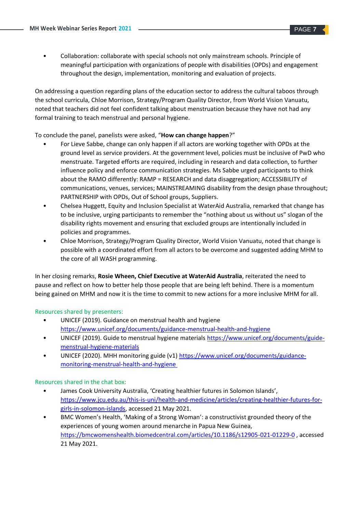• Collaboration: collaborate with special schools not only mainstream schools. Principle of meaningful participation with organizations of people with disabilities (OPDs) and engagement throughout the design, implementation, monitoring and evaluation of projects.

On addressing a question regarding plans of the education sector to address the cultural taboos through the school curricula, Chloe Morrison, Strategy/Program Quality Director, from World Vision Vanuatu, noted that teachers did not feel confident talking about menstruation because they have not had any formal training to teach menstrual and personal hygiene.

To conclude the panel, panelists were asked, "**How can change happen**?"

- For Lieve Sabbe, change can only happen if all actors are working together with OPDs at the ground level as service providers. At the government level, policies must be inclusive of PwD who menstruate. Targeted efforts are required, including in research and data collection, to further influence policy and enforce communication strategies. Ms Sabbe urged participants to think about the RAMO differently: RAMP = RESEARCH and data disaggregation; ACCESSIBILITY of communications, venues, services; MAINSTREAMING disability from the design phase throughout; PARTNERSHIP with OPDs, Out of School groups, Suppliers.
- Chelsea Huggett, Equity and Inclusion Specialist at WaterAid Australia, remarked that change has to be inclusive, urging participants to remember the "nothing about us without us" slogan of the disability rights movement and ensuring that excluded groups are intentionally included in policies and programmes.
- Chloe Morrison, Strategy/Program Quality Director, World Vision Vanuatu, noted that change is possible with a coordinated effort from all actors to be overcome and suggested adding MHM to the core of all WASH programming.

In her closing remarks, **Rosie Wheen, Chief Executive at WaterAid Australia**, reiterated the need to pause and reflect on how to better help those people that are being left behind. There is a momentum being gained on MHM and now it is the time to commit to new actions for a more inclusive MHM for all.

#### Resources shared by presenters:

- UNICEF (2019). Guidance on menstrual health and hygiene <https://www.unicef.org/documents/guidance-menstrual-health-and-hygiene>
- UNICEF (2019). Guide to menstrual hygiene materials [https://www.unicef.org/documents/guide](https://www.unicef.org/documents/guide-menstrual-hygiene-materials)[menstrual-hygiene-materials](https://www.unicef.org/documents/guide-menstrual-hygiene-materials)
- UNICEF (2020). MHH monitoring guide (v1) [https://www.unicef.org/documents/guidance](https://www.unicef.org/documents/guidance-monitoring-menstrual-health-and-hygiene)[monitoring-menstrual-health-and-hygiene](https://www.unicef.org/documents/guidance-monitoring-menstrual-health-and-hygiene)

#### Resources shared in the chat box:

- James Cook University Australia, 'Creating healthier futures in Solomon Islands', [https://www.jcu.edu.au/this-is-uni/health-and-medicine/articles/creating-healthier-futures-for](https://www.jcu.edu.au/this-is-uni/health-and-medicine/articles/creating-healthier-futures-for-girls-in-solomon-islands)[girls-in-solomon-islands,](https://www.jcu.edu.au/this-is-uni/health-and-medicine/articles/creating-healthier-futures-for-girls-in-solomon-islands) accessed 21 May 2021.
- BMC Women's Health, 'Making of a Strong Woman': a constructivist grounded theory of the experiences of young women around menarche in Papua New Guinea, <https://bmcwomenshealth.biomedcentral.com/articles/10.1186/s12905-021-01229-0> , accessed 21 May 2021.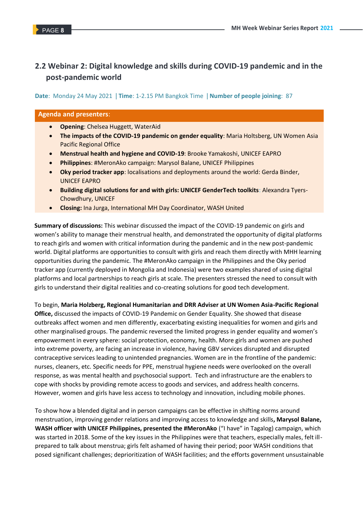### **2.2 Webinar 2: Digital knowledge and skills during COVID-19 pandemic and in the post-pandemic world**

**Date**: Monday 24 May 2021 | **Time**: 1-2.15 PM Bangkok Time | **Number of people joining**: 87

#### **Agenda and presenters**:

- **Opening**: Chelsea Huggett, WaterAid
- **The impacts of the COVID-19 pandemic on gender equality**: Maria Holtsberg, UN Women Asia Pacific Regional Office
- **Menstrual health and hygiene and COVID-19**: Brooke Yamakoshi, UNICEF EAPRO
- **Philippines**: #MeronAko campaign: Marysol Balane, UNICEF Philippines
- **Oky period tracker app**: localisations and deployments around the world: Gerda Binder, UNICEF EAPRO
- **Building digital solutions for and with girls: UNICEF GenderTech toolkits**: Alexandra Tyers-Chowdhury, UNICEF
- **Closing:** Ina Jurga, International MH Day Coordinator, WASH United

**Summary of discussions:** This webinar discussed the impact of the COVID-19 pandemic on girls and women's ability to manage their menstrual health, and demonstrated the opportunity of digital platforms to reach girls and women with critical information during the pandemic and in the new post-pandemic world. Digital platforms are opportunities to consult with girls and reach them directly with MHH learning opportunities during the pandemic. The #MeronAko campaign in the Philippines and the Oky period tracker app (currently deployed in Mongolia and Indonesia) were two examples shared of using digital platforms and local partnerships to reach girls at scale. The presenters stressed the need to consult with girls to understand their digital realities and co-creating solutions for good tech development.

To begin, **Maria Holzberg, Regional Humanitarian and DRR Adviser at UN Women Asia-Pacific Regional Office,** discussed the impacts of COVID-19 Pandemic on Gender Equality. She showed that disease outbreaks affect women and men differently, exacerbating existing inequalities for women and girls and other marginalised groups. The pandemic reversed the limited progress in gender equality and women's empowerment in every sphere: social protection, economy, health. More girls and women are pushed into extreme poverty, are facing an increase in violence, having GBV services disrupted and disrupted contraceptive services leading to unintended pregnancies. Women are in the frontline of the pandemic: nurses, cleaners, etc. Specific needs for PPE, menstrual hygiene needs were overlooked on the overall response, as was mental health and psychosocial support. Tech and infrastructure are the enablers to cope with shocks by providing remote access to goods and services, and address health concerns. However, women and girls have less access to technology and innovation, including mobile phones.

To show how a blended digital and in person campaigns can be effective in shifting norms around menstruation, improving gender relations and improving access to knowledge and skills**, Marysol Balane, WASH officer with UNICEF Philippines, presented the #MeronAko** ("I have" in Tagalog) campaign, which was started in 2018. Some of the key issues in the Philippines were that teachers, especially males, felt illprepared to talk about menstrua; girls felt ashamed of having their period; poor WASH conditions that posed significant challenges; deprioritization of WASH facilities; and the efforts government unsustainable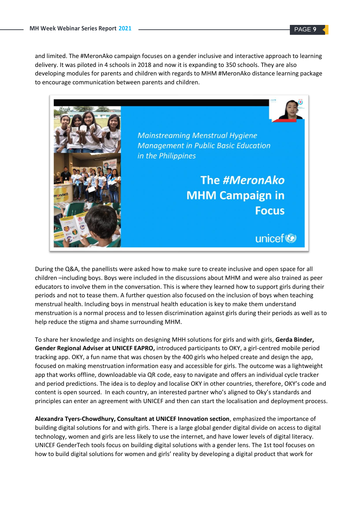and limited. The #MeronAko campaign focuses on a gender inclusive and interactive approach to learning delivery. It was piloted in 4 schools in 2018 and now it is expanding to 350 schools. They are also developing modules for parents and children with regards to MHM #MeronAko distance learning package to encourage communication between parents and children.



During the Q&A, the panellists were asked how to make sure to create inclusive and open space for all children –including boys. Boys were included in the discussions about MHM and were also trained as peer educators to involve them in the conversation. This is where they learned how to support girls during their periods and not to tease them. A further question also focused on the inclusion of boys when teaching menstrual health. Including boys in menstrual health education is key to make them understand menstruation is a normal process and to lessen discrimination against girls during their periods as well as to help reduce the stigma and shame surrounding MHM.

To share her knowledge and insights on designing MHH solutions for girls and with girls, **Gerda Binder, Gender Regional Adviser at UNICEF EAPRO,** introduced participants to OKY, a girl-centred mobile period tracking app. OKY, a fun name that was chosen by the 400 girls who helped create and design the app, focused on making menstruation information easy and accessible for girls. The outcome was a lightweight app that works offline, downloadable via QR code, easy to navigate and offers an individual cycle tracker and period predictions. The idea is to deploy and localise OKY in other countries, therefore, OKY's code and content is open sourced. In each country, an interested partner who's aligned to Oky's standards and principles can enter an agreement with UNICEF and then can start the localisation and deployment process.

**Alexandra Tyers-Chowdhury, Consultant at UNICEF Innovation section**, emphasized the importance of building digital solutions for and with girls. There is a large global gender digital divide on access to digital technology, women and girls are less likely to use the internet, and have lower levels of digital literacy. UNICEF GenderTech tools focus on building digital solutions with a gender lens. The 1st tool focuses on how to build digital solutions for women and girls' reality by developing a digital product that work for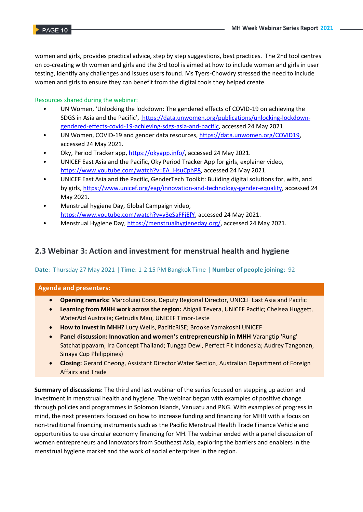women and girls, provides practical advice, step by step suggestions, best practices. The 2nd tool centres on co-creating with women and girls and the 3rd tool is aimed at how to include women and girls in user testing, identify any challenges and issues users found. Ms Tyers-Chowdry stressed the need to include women and girls to ensure they can benefit from the digital tools they helped create.

#### Resources shared during the webinar:

- UN Women, 'Unlocking the lockdown: The gendered effects of COVID-19 on achieving the SDGS in Asia and the Pacific', [https://data.unwomen.org/publications/unlocking-lockdown](https://data.unwomen.org/publications/unlocking-lockdown-gendered-effects-covid-19-achieving-sdgs-asia-and-pacific)[gendered-effects-covid-19-achieving-sdgs-asia-and-pacific,](https://data.unwomen.org/publications/unlocking-lockdown-gendered-effects-covid-19-achieving-sdgs-asia-and-pacific) accessed 24 May 2021.
- UN Women, COVID-19 and gender data resources, https://data.unwomen.org/COVID19, accessed 24 May 2021.
- Oky, Period Tracker app, [https://okyapp.info/,](https://okyapp.info/) accessed 24 May 2021.
- UNICEF East Asia and the Pacific, Oky Period Tracker App for girls, explainer video, [https://www.youtube.com/watch?v=EA\\_HsuCphP8,](https://www.youtube.com/watch?v=EA_HsuCphP8) accessed 24 May 2021.
- UNICEF East Asia and the Pacific, GenderTech Toolkit: Building digital solutions for, with, and by girls[, https://www.unicef.org/eap/innovation-and-technology-gender-equality,](https://www.unicef.org/eap/innovation-and-technology-gender-equality) accessed 24 May 2021.
- Menstrual hygiene Day, Global Campaign video, [https://www.youtube.com/watch?v=y3eSaFFjEfY,](https://www.youtube.com/watch?v=y3eSaFFjEfY) accessed 24 May 2021.
- Menstrual Hygiene Day, [https://menstrualhygieneday.org/,](https://menstrualhygieneday.org/) accessed 24 May 2021.

#### **2.3 Webinar 3: Action and investment for menstrual health and hygiene**

#### **Date**: Thursday 27 May 2021 | **Time**: 1-2.15 PM Bangkok Time | **Number of people joining**: 92

#### **Agenda and presenters:**

- **Opening remarks:** Marcoluigi Corsi, Deputy Regional Director, UNICEF East Asia and Pacific
- **Learning from MHH work across the region:** Abigail Tevera, UNICEF Pacific; Chelsea Huggett, WaterAid Australia; Getrudis Mau, UNICEF Timor-Leste
- **How to invest in MHH?** Lucy Wells, PacificRISE; Brooke Yamakoshi UNICEF
- **Panel discussion: Innovation and women's entrepreneurship in MHH** Varangtip 'Rung' Satchatippavarn, Ira Concept Thailand; Tungga Dewi, Perfect Fit Indonesia; Audrey Tangonan, Sinaya Cup Philippines)
- **Closing:** Gerard Cheong, Assistant Director Water Section, Australian Department of Foreign Affairs and Trade

**Summary of discussions:** The third and last webinar of the series focused on stepping up action and investment in menstrual health and hygiene. The webinar began with examples of positive change through policies and programmes in Solomon Islands, Vanuatu and PNG. With examples of progress in mind, the next presenters focused on how to increase funding and financing for MHH with a focus on non-traditional financing instruments such as the Pacific Menstrual Health Trade Finance Vehicle and opportunities to use circular economy financing for MH. The webinar ended with a panel discussion of women entrepreneurs and innovators from Southeast Asia, exploring the barriers and enablers in the menstrual hygiene market and the work of social enterprises in the region.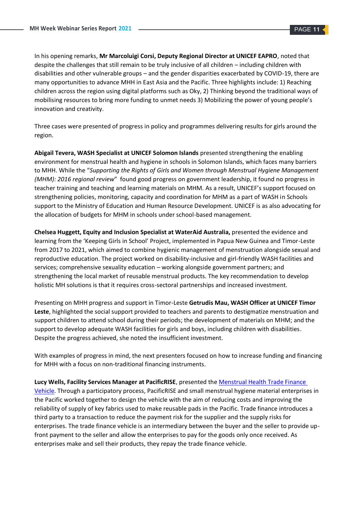In his opening remarks, **Mr Marcoluigi Corsi, Deputy Regional Director at UNICEF EAPRO**, noted that despite the challenges that still remain to be truly inclusive of all children – including children with disabilities and other vulnerable groups – and the gender disparities exacerbated by COVID-19, there are many opportunities to advance MHH in East Asia and the Pacific. Three highlights include: 1) Reaching children across the region using digital platforms such as Oky, 2) Thinking beyond the traditional ways of mobilising resources to bring more funding to unmet needs 3) Mobilizing the power of young people's innovation and creativity.

Three cases were presented of progress in policy and programmes delivering results for girls around the region.

**Abigail Tevera, WASH Specialist at UNICEF Solomon Islands** presented strengthening the enabling environment for menstrual health and hygiene in schools in Solomon Islands, which faces many barriers to MHH. While the "*Supporting the Rights of Girls and Women through Menstrual Hygiene Management (MHM): 2016 regional review*" found good progress on government leadership, it found no progress in teacher training and teaching and learning materials on MHM. As a result, UNICEF's support focused on strengthening policies, monitoring, capacity and coordination for MHM as a part of WASH in Schools support to the Ministry of Education and Human Resource Development. UNICEF is as also advocating for the allocation of budgets for MHM in schools under school-based management.

**Chelsea Huggett, Equity and Inclusion Specialist at WaterAid Australia,** presented the evidence and learning from the 'Keeping Girls in School' Project, implemented in Papua New Guinea and Timor-Leste from 2017 to 2021, which aimed to combine hygienic management of menstruation alongside sexual and reproductive education. The project worked on disability-inclusive and girl-friendly WASH facilities and services; comprehensive sexuality education – working alongside government partners; and strengthening the local market of reusable menstrual products. The key recommendation to develop holistic MH solutions is that it requires cross-sectoral partnerships and increased investment.

Presenting on MHH progress and support in Timor-Leste **Getrudis Mau, WASH Officer at UNICEF Timor Leste**, highlighted the social support provided to teachers and parents to destigmatize menstruation and support children to attend school during their periods; the development of materials on MHM; and the support to develop adequate WASH facilities for girls and boys, including children with disabilities. Despite the progress achieved, she noted the insufficient investment.

With examples of progress in mind, the next presenters focused on how to increase funding and financing for MHH with a focus on non-traditional financing instruments.

**Lucy Wells, Facility Services Manager at PacificRISE**, presented the [Menstrual Health Trade Finance](https://youtu.be/n98ShwZvSZo)  [Vehicle.](https://youtu.be/n98ShwZvSZo) Through a participatory process, PacificRISE and small menstrual hygiene material enterprises in the Pacific worked together to design the vehicle with the aim of reducing costs and improving the reliability of supply of key fabrics used to make reusable pads in the Pacific. Trade finance introduces a third party to a transaction to reduce the payment risk for the supplier and the supply risks for enterprises. The trade finance vehicle is an intermediary between the buyer and the seller to provide upfront payment to the seller and allow the enterprises to pay for the goods only once received. As enterprises make and sell their products, they repay the trade finance vehicle.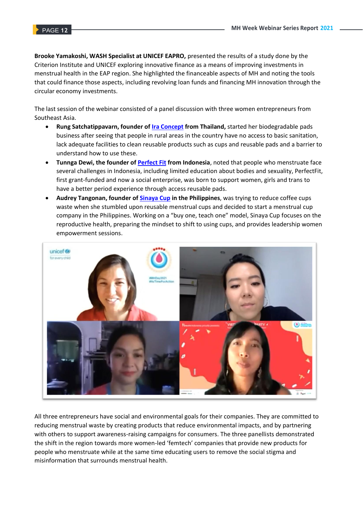**Brooke Yamakoshi, WASH Specialist at UNICEF EAPRO,** presented the results of a study done by the Criterion Institute and UNICEF exploring innovative finance as a means of improving investments in menstrual health in the EAP region. She highlighted the financeable aspects of MH and noting the tools that could finance those aspects, including revolving loan funds and financing MH innovation through the circular economy investments.

The last session of the webinar consisted of a panel discussion with three women entrepreneurs from Southeast Asia.

- **Rung Satchatippavarn, founder of [Ira Concept](https://www.iraconcept.com/) from Thailand,** started her biodegradable pads business after seeing that people in rural areas in the country have no access to basic sanitation, lack adequate facilities to clean reusable products such as cups and reusable pads and a barrier to understand how to use these.
- **Tunnga Dewi, the founder of [Perfect Fit](http://perfectfitid.info/) from Indonesia**, noted that people who menstruate face several challenges in Indonesia, including limited education about bodies and sexuality, PerfectFit, first grant-funded and now a social enterprise, was born to support women, girls and trans to have a better period experience through access reusable pads.
- **Audrey Tangonan, founder o[f Sinaya Cup](https://www.sinayacup.com/) in the Philippines**, was trying to reduce coffee cups waste when she stumbled upon reusable menstrual cups and decided to start a menstrual cup company in the Philippines. Working on a "buy one, teach one" model, Sinaya Cup focuses on the reproductive health, preparing the mindset to shift to using cups, and provides leadership women empowerment sessions.



All three entrepreneurs have social and environmental goals for their companies. They are committed to reducing menstrual waste by creating products that reduce environmental impacts, and by partnering with others to support awareness-raising campaigns for consumers. The three panellists demonstrated the shift in the region towards more women-led 'femtech' companies that provide new products for people who menstruate while at the same time educating users to remove the social stigma and misinformation that surrounds menstrual health.